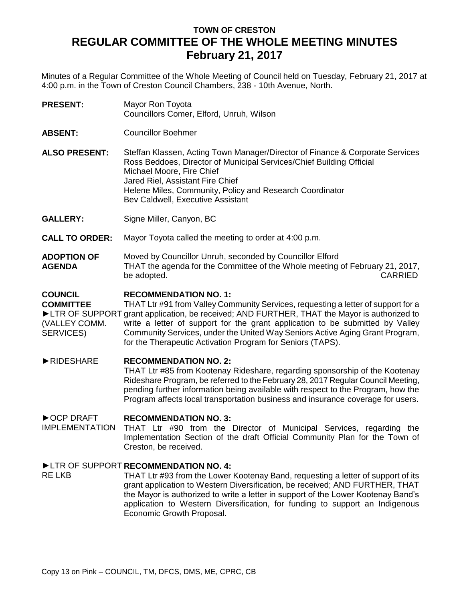# **TOWN OF CRESTON REGULAR COMMITTEE OF THE WHOLE MEETING MINUTES February 21, 2017**

Minutes of a Regular Committee of the Whole Meeting of Council held on Tuesday, February 21, 2017 at 4:00 p.m. in the Town of Creston Council Chambers, 238 - 10th Avenue, North.

- **PRESENT:** Mayor Ron Toyota Councillors Comer, Elford, Unruh, Wilson
- **ABSENT:** Councillor Boehmer

**ALSO PRESENT:** Steffan Klassen, Acting Town Manager/Director of Finance & Corporate Services Ross Beddoes, Director of Municipal Services/Chief Building Official Michael Moore, Fire Chief Jared Riel, Assistant Fire Chief Helene Miles, Community, Policy and Research Coordinator Bev Caldwell, Executive Assistant

**GALLERY:** Signe Miller, Canyon, BC

**CALL TO ORDER:** Mayor Toyota called the meeting to order at 4:00 p.m.

**ADOPTION OF AGENDA** Moved by Councillor Unruh, seconded by Councillor Elford THAT the agenda for the Committee of the Whole meeting of February 21, 2017, be adopted. CARRIED

### **COUNCIL RECOMMENDATION NO. 1:**

**COMMITTEE** ► LTR OF SUPPORT grant application, be received; AND FURTHER, THAT the Mayor is authorized to (VALLEY COMM. SERVICES) THAT Ltr #91 from Valley Community Services, requesting a letter of support for a write a letter of support for the grant application to be submitted by Valley Community Services, under the United Way Seniors Active Aging Grant Program, for the Therapeutic Activation Program for Seniors (TAPS).

►RIDESHARE **RECOMMENDATION NO. 2:** THAT Ltr #85 from Kootenay Rideshare, regarding sponsorship of the Kootenay Rideshare Program, be referred to the February 28, 2017 Regular Council Meeting, pending further information being available with respect to the Program, how the Program affects local transportation business and insurance coverage for users.

#### ►OCP DRAFT **RECOMMENDATION NO. 3:**

IMPI FMFNTATION THAT Ltr #90 from the Director of Municipal Services, regarding the Implementation Section of the draft Official Community Plan for the Town of Creston, be received.

### ►LTR OF SUPPORT **RECOMMENDATION NO. 4:**

RE LKB THAT Ltr #93 from the Lower Kootenay Band, requesting a letter of support of its grant application to Western Diversification, be received; AND FURTHER, THAT the Mayor is authorized to write a letter in support of the Lower Kootenay Band's application to Western Diversification, for funding to support an Indigenous Economic Growth Proposal.